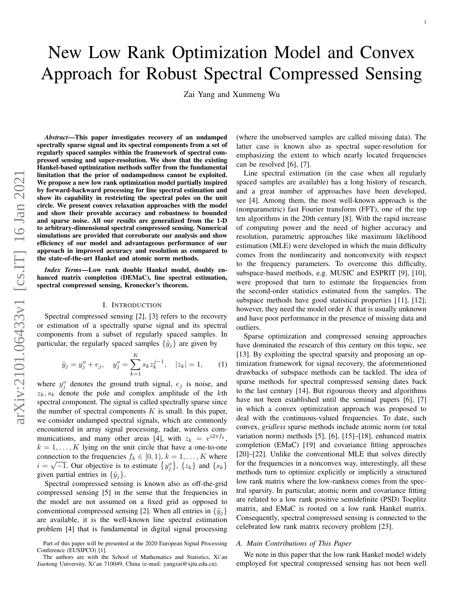# New Low Rank Optimization Model and Convex Approach for Robust Spectral Compressed Sensing

Zai Yang and Xunmeng Wu

*Abstract*—This paper investigates recovery of an undamped spectrally sparse signal and its spectral components from a set of regularly spaced samples within the framework of spectral compressed sensing and super-resolution. We show that the existing Hankel-based optimization methods suffer from the fundamental limitation that the prior of undampedness cannot be exploited. We propose a new low rank optimization model partially inspired by forward-backward processing for line spectral estimation and show its capability in restricting the spectral poles on the unit circle. We present convex relaxation approaches with the model and show their provable accuracy and robustness to bounded and sparse noise. All our results are generalized from the 1-D to arbitrary-dimensional spectral compressed sensing. Numerical simulations are provided that corroborate our analysis and show efficiency of our model and advantageous performance of our approach in improved accuracy and resolution as compared to the state-of-the-art Hankel and atomic norm methods.

*Index Terms*—Low rank double Hankel model, doubly enhanced matrix completion (DEMaC), line spectral estimation, spectral compressed sensing, Kronecker's theorem.

## I. INTRODUCTION

Spectral compressed sensing [2], [3] refers to the recovery or estimation of a spectrally sparse signal and its spectral components from a subset of regularly spaced samples. In particular, the regularly spaced samples  $\{\tilde{y}_i\}$  are given by

$$
\tilde{y}_j = y_j^o + e_j, \quad y_j^o = \sum_{k=1}^K s_k z_k^{j-1}, \quad |z_k| = 1,
$$
\n(1)

where  $y_j^o$  denotes the ground truth signal,  $e_j$  is noise, and  $z_k$ ,  $s_k$  denote the pole and complex amplitude of the kth spectral component. The signal is called spectrally sparse since the number of spectral components  $K$  is small. In this paper, we consider undamped spectral signals, which are commonly encountered in array signal processing, radar, wireless communications, and many other areas [4], with  $z_k = e^{i2\pi f_k}$ ,  $k = 1, \ldots, K$  lying on the unit circle that have a one-to-one connection to the frequencies  $f_k \in [0, 1), k = 1, \ldots, K$  where  $i = \sqrt{-1}$ . Our objective is to estimate  $\{y_j^o\}$ ,  $\{z_k\}$  and  $\{s_k\}$ given partial entries in  $\{\tilde{y}_i\}$ .

Spectral compressed sensing is known also as off-the-grid compressed sensing [5] in the sense that the frequencies in the model are not assumed on a fixed grid as opposed to conventional compressed sensing [2]. When all entries in  $\{\tilde{y}_j\}$ are available, it is the well-known line spectral estimation problem [4] that is fundamental in digital signal processing (where the unobserved samples are called missing data). The latter case is known also as spectral super-resolution for emphasizing the extent to which nearly located frequencies can be resolved [6], [7].

1

Line spectral estimation (in the case when all regularly spaced samples are available) has a long history of research, and a great number of approaches have been developed, see [4]. Among them, the most well-known approach is the (nonparametric) fast Fourier transform (FFT), one of the top ten algorithms in the 20th century [8]. With the rapid increase of computing power and the need of higher accuracy and resolution, parametric approaches like maximum likelihood estimation (MLE) were developed in which the main difficulty comes from the nonlinearity and nonconvexity with respect to the frequency parameters. To overcome this difficulty, subspace-based methods, e.g. MUSIC and ESPRIT [9], [10], were proposed that turn to estimate the frequencies from the second-order statistics estimated from the samples. The subspace methods have good statistical properties [11], [12]; however, they need the model order  $K$  that is usually unknown and have poor performance in the presence of missing data and outliers.

Sparse optimization and compressed sensing approaches have dominated the research of this century on this topic, see [13]. By exploiting the spectral sparsity and proposing an optimization framework for signal recovery, the aforementioned drawbacks of subspace methods can be tackled. The idea of sparse methods for spectral compressed sensing dates back to the last century [14]. But rigourous theory and algorithms have not been established until the seminal papers [6], [7] in which a convex optimization approach was proposed to deal with the continuous-valued frequencies. To date, such convex, *gridless* sparse methods include atomic norm (or total variation norm) methods [5], [6], [15]–[18], enhanced matrix completion (EMaC) [19] and covariance fitting approaches [20]–[22]. Unlike the conventional MLE that solves directly for the frequencies in a nonconvex way, interestingly, all these methods turn to optimize explicitly or implicitly a structured low rank matrix where the low-rankness comes from the spectral sparsity. In particular, atomic norm and covariance fitting are related to a low rank positive semidefinite (PSD) Toeplitz matrix, and EMaC is rooted on a low rank Hankel matrix. Consequently, spectral compressed sensing is connected to the celebrated low rank matrix recovery problem [23].

## *A. Main Contributions of This Paper*

We note in this paper that the low rank Hankel model widely employed for spectral compressed sensing has not been well

Part of this paper will be presented at the 2020 European Signal Processing Conference (EUSIPCO) [1].

The authors are with the School of Mathematics and Statistics, Xi'an Jiaotong University, Xi'an 710049, China (e-mail: yangzai@xjtu.edu.cn).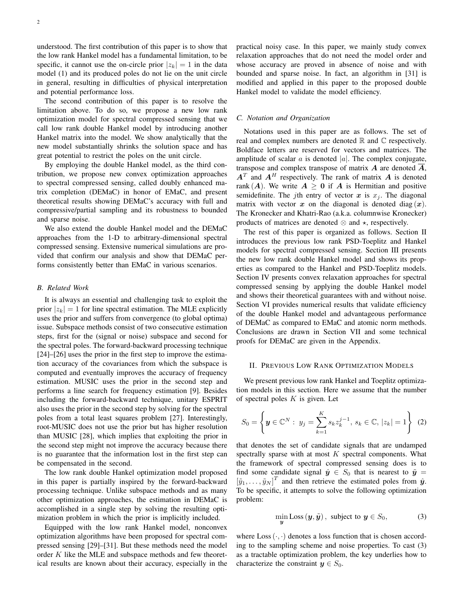understood. The first contribution of this paper is to show that the low rank Hankel model has a fundamental limitation, to be specific, it cannot use the on-circle prior  $|z_k| = 1$  in the data model (1) and its produced poles do not lie on the unit circle in general, resulting in difficulties of physical interpretation and potential performance loss.

The second contribution of this paper is to resolve the limitation above. To do so, we propose a new low rank optimization model for spectral compressed sensing that we call low rank double Hankel model by introducing another Hankel matrix into the model. We show analytically that the new model substantially shrinks the solution space and has great potential to restrict the poles on the unit circle.

By employing the double Hankel model, as the third contribution, we propose new convex optimization approaches to spectral compressed sensing, called doubly enhanced matrix completion (DEMaC) in honor of EMaC, and present theoretical results showing DEMaC's accuracy with full and compressive/partial sampling and its robustness to bounded and sparse noise.

We also extend the double Hankel model and the DEMaC approaches from the 1-D to arbitrary-dimensional spectral compressed sensing. Extensive numerical simulations are provided that confirm our analysis and show that DEMaC performs consistently better than EMaC in various scenarios.

## *B. Related Work*

It is always an essential and challenging task to exploit the prior  $|z_k| = 1$  for line spectral estimation. The MLE explicitly uses the prior and suffers from convergence (to global optima) issue. Subspace methods consist of two consecutive estimation steps, first for the (signal or noise) subspace and second for the spectral poles. The forward-backward processing technique [24]–[26] uses the prior in the first step to improve the estimation accuracy of the covariances from which the subspace is computed and eventually improves the accuracy of frequency estimation. MUSIC uses the prior in the second step and performs a line search for frequency estimation [9]. Besides including the forward-backward technique, unitary ESPRIT also uses the prior in the second step by solving for the spectral poles from a total least squares problem [27]. Interestingly, root-MUSIC does not use the prior but has higher resolution than MUSIC [28], which implies that exploiting the prior in the second step might not improve the accuracy because there is no guarantee that the information lost in the first step can be compensated in the second.

The low rank double Hankel optimization model proposed in this paper is partially inspired by the forward-backward processing technique. Unlike subspace methods and as many other optimization approaches, the estimation in DEMaC is accomplished in a single step by solving the resulting optimization problem in which the prior is implicitly included.

Equipped with the low rank Hankel model, nonconvex optimization algorithms have been proposed for spectral compressed sensing [29]–[31]. But these methods need the model order  $K$  like the MLE and subspace methods and few theoretical results are known about their accuracy, especially in the

practical noisy case. In this paper, we mainly study convex relaxation approaches that do not need the model order and whose accuracy are proved in absence of noise and with bounded and sparse noise. In fact, an algorithm in [31] is modified and applied in this paper to the proposed double Hankel model to validate the model efficiency.

#### *C. Notation and Organization*

Notations used in this paper are as follows. The set of real and complex numbers are denoted  $\mathbb R$  and  $\mathbb C$  respectively. Boldface letters are reserved for vectors and matrices. The amplitude of scalar  $a$  is denoted  $|a|$ . The complex conjugate, transpose and complex transpose of matrix  $\bm{A}$  are denoted  $\bm{A}$ ,  $A<sup>T</sup>$  and  $A<sup>H</sup>$  respectively. The rank of matrix A is denoted rank  $(A)$ . We write  $A \geq 0$  if A is Hermitian and positive semidefinite. The jth entry of vector x is  $x_j$ . The diagonal matrix with vector x on the diagonal is denoted diag  $(x)$ . The Kronecker and Khatri-Rao (a.k.a. columnwise Kronecker) products of matrices are denoted  $\otimes$  and  $\star$ , respectively.

The rest of this paper is organized as follows. Section II introduces the previous low rank PSD-Toeplitz and Hankel models for spectral compressed sensing. Section III presents the new low rank double Hankel model and shows its properties as compared to the Hankel and PSD-Toeplitz models. Section IV presents convex relaxation approaches for spectral compressed sensing by applying the double Hankel model and shows their theoretical guarantees with and without noise. Section VI provides numerical results that validate efficiency of the double Hankel model and advantageous performance of DEMaC as compared to EMaC and atomic norm methods. Conclusions are drawn in Section VII and some technical proofs for DEMaC are given in the Appendix.

#### II. PREVIOUS LOW RANK OPTIMIZATION MODELS

We present previous low rank Hankel and Toeplitz optimization models in this section. Here we assume that the number of spectral poles  $K$  is given. Let

$$
S_0 = \left\{ \boldsymbol{y} \in \mathbb{C}^N : y_j = \sum_{k=1}^K s_k z_k^{j-1}, \ s_k \in \mathbb{C}, \ |z_k| = 1 \right\} \tag{2}
$$

that denotes the set of candidate signals that are undamped spectrally sparse with at most  $K$  spectral components. What the framework of spectral compressed sensing does is to find some candidate signal  $\hat{y} \in S_0$  that is nearest to  $\tilde{y} =$  $[\tilde{y}_1, \ldots, \tilde{y}_N]^T$  and then retrieve the estimated poles from  $\hat{y}$ . To be specific, it attempts to solve the following optimization problem:

$$
\min_{\mathbf{y}} \text{Loss}(\mathbf{y}, \tilde{\mathbf{y}}), \text{ subject to } \mathbf{y} \in S_0,
$$
\n(3)

where  $Loss(\cdot, \cdot)$  denotes a loss function that is chosen according to the sampling scheme and noise properties. To cast (3) as a tractable optimization problem, the key underlies how to characterize the constraint  $y \in S_0$ .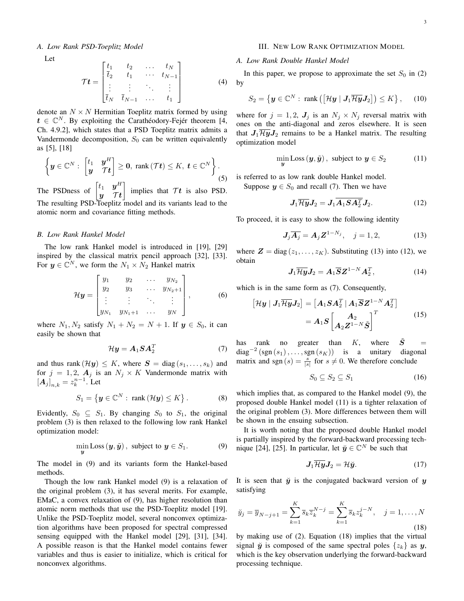Let

$$
\mathcal{T}t = \begin{bmatrix} t_1 & t_2 & \dots & t_N \\ \overline{t}_2 & t_1 & \dots & t_{N-1} \\ \vdots & \vdots & \ddots & \vdots \\ \overline{t}_N & \overline{t}_{N-1} & \dots & t_1 \end{bmatrix} \tag{4}
$$

denote an  $N \times N$  Hermitian Toeplitz matrix formed by using  $t \in \mathbb{C}^N$ . By exploiting the Carathéodory-Fejér theorem [4, Ch. 4.9.2], which states that a PSD Toeplitz matrix admits a Vandermonde decomposition,  $S_0$  can be written equivalently as [5], [18]

$$
\left\{ \boldsymbol{y} \in \mathbb{C}^N : \begin{bmatrix} t_1 & \boldsymbol{y}^H \\ \boldsymbol{y} & \boldsymbol{\tau} \boldsymbol{t} \end{bmatrix} \geq \boldsymbol{0}, \text{ } \text{rank}(\boldsymbol{\tau}\boldsymbol{t}) \leq K, \ \boldsymbol{t} \in \mathbb{C}^N \right\}.
$$
\n
$$
(5)
$$

The PSDness of  $\begin{bmatrix} t_1 & y^H \\ y & \tau \end{bmatrix}$  $y$  Tt implies that  $\mathcal{T}t$  is also PSD. The resulting PSD-Toeplitz model and its variants lead to the atomic norm and covariance fitting methods.

#### *B. Low Rank Hankel Model*

The low rank Hankel model is introduced in [19], [29] inspired by the classical matrix pencil approach [32], [33]. For  $y \in \mathbb{C}^N$ , we form the  $N_1 \times N_2$  Hankel matrix

$$
\mathcal{H}\mathbf{y} = \begin{bmatrix} y_1 & y_2 & \cdots & y_{N_2} \\ y_2 & y_3 & \cdots & y_{N_2+1} \\ \vdots & \vdots & \ddots & \vdots \\ y_{N_1} & y_{N_1+1} & \cdots & y_N \end{bmatrix},\tag{6}
$$

where  $N_1, N_2$  satisfy  $N_1 + N_2 = N + 1$ . If  $y \in S_0$ , it can easily be shown that

$$
\mathcal{H}\mathbf{y} = \mathbf{A}_1 \mathbf{S} \mathbf{A}_2^T \tag{7}
$$

and thus rank  $(\mathcal{H}y) \leq K$ , where  $S = \text{diag}(s_1, \ldots, s_k)$  and for  $j = 1, 2, A_j$  is an  $N_j \times K$  Vandermonde matrix with  $[A_j]_{n,k} = z_k^{n-1}$ . Let

$$
S_1 = \left\{ \boldsymbol{y} \in \mathbb{C}^N : \text{ rank} \left( \mathcal{H} \boldsymbol{y} \right) \leq K \right\}. \tag{8}
$$

Evidently,  $S_0 \subseteq S_1$ . By changing  $S_0$  to  $S_1$ , the original problem (3) is then relaxed to the following low rank Hankel optimization model:

$$
\min_{\mathbf{y}} \text{Loss}(\mathbf{y}, \tilde{\mathbf{y}}), \text{ subject to } \mathbf{y} \in S_1. \tag{9}
$$

The model in (9) and its variants form the Hankel-based methods.

Though the low rank Hankel model (9) is a relaxation of the original problem (3), it has several merits. For example, EMaC, a convex relaxation of (9), has higher resolution than atomic norm methods that use the PSD-Toeplitz model [19]. Unlike the PSD-Toeplitz model, several nonconvex optimization algorithms have been proposed for spectral compressed sensing equipped with the Hankel model [29], [31], [34]. A possible reason is that the Hankel model contains fewer variables and thus is easier to initialize, which is critical for nonconvex algorithms.

#### III. NEW LOW RANK OPTIMIZATION MODEL

## *A. Low Rank Double Hankel Model*

In this paper, we propose to approximate the set  $S_0$  in (2) by

$$
S_2 = \left\{ \boldsymbol{y} \in \mathbb{C}^N : \text{ rank} \left( \left[ \mathcal{H} \boldsymbol{y} \mid \boldsymbol{J}_1 \overline{\mathcal{H} \boldsymbol{y}} \boldsymbol{J}_2 \right] \right) \leq K \right\}, \qquad (10)
$$

where for  $j = 1, 2, J_j$  is an  $N_j \times N_j$  reversal matrix with ones on the anti-diagonal and zeros elsewhere. It is seen that  $J_1\overline{\mathcal{H}y}J_2$  remains to be a Hankel matrix. The resulting optimization model

$$
\min_{\boldsymbol{y}} \text{Loss}(\boldsymbol{y}, \tilde{\boldsymbol{y}}), \text{ subject to } \boldsymbol{y} \in S_2 \tag{11}
$$

is referred to as low rank double Hankel model.

Suppose  $y \in S_0$  and recall (7). Then we have

$$
J_1 \overline{\mathcal{H} y} J_2 = J_1 A_1 S A_2^T J_2. \tag{12}
$$

To proceed, it is easy to show the following identity

$$
J_j \overline{A_j} = A_j Z^{1 - N_j}, \quad j = 1, 2,
$$
 (13)

where  $\mathbf{Z} = \text{diag}(z_1, \dots, z_K)$ . Substituting (13) into (12), we obtain

$$
J_1 \overline{\mathcal{H} y} J_2 = A_1 \overline{S} Z^{1-N} A_2^T, \tag{14}
$$

which is in the same form as (7). Consequently,

$$
\begin{aligned} \left[\mathcal{H}\mathbf{y} \mid \mathbf{J}_{1}\overline{\mathcal{H}}\mathbf{y}\mathbf{J}_{2}\right] &= \left[A_{1}\mathbf{S}\mathbf{A}_{2}^{T} \mid A_{1}\overline{\mathbf{S}}\mathbf{Z}^{1-N}\mathbf{A}_{2}^{T}\right] \\ &= \mathbf{A}_{1}\mathbf{S} \begin{bmatrix} \mathbf{A}_{2} \\ \mathbf{A}_{2}\mathbf{Z}^{1-N}\tilde{\mathbf{S}} \end{bmatrix}^{T} \end{aligned} \tag{15}
$$

has rank no greater than  $K$ , where  $\tilde{S}$ diag<sup>-2</sup> (sgn  $(s_1)$ , ..., sgn  $(s_K)$ ) is a unitary diagonal matrix and sgn  $(s) = \frac{s}{|s|}$  for  $s \neq 0$ . We therefore conclude

$$
S_0 \subseteq S_2 \subseteq S_1 \tag{16}
$$

which implies that, as compared to the Hankel model (9), the proposed double Hankel model (11) is a tighter relaxation of the original problem (3). More differences between them will be shown in the ensuing subsection.

It is worth noting that the proposed double Hankel model is partially inspired by the forward-backward processing technique [24], [25]. In particular, let  $\check{y} \in \mathbb{C}^N$  be such that

$$
J_1 \overline{\mathcal{H} y} J_2 = \mathcal{H} \breve{y}.\tag{17}
$$

It is seen that  $\ddot{y}$  is the conjugated backward version of y satisfying

$$
\breve{y}_j = \overline{y}_{N-j+1} = \sum_{k=1}^K \overline{s}_k \overline{z}_k^{N-j} = \sum_{k=1}^K \overline{s}_k z_k^{j-N}, \quad j = 1, ..., N
$$
\n(18)

by making use of (2). Equation (18) implies that the virtual signal  $\check{y}$  is composed of the same spectral poles  $\{z_k\}$  as  $y$ , which is the key observation underlying the forward-backward processing technique.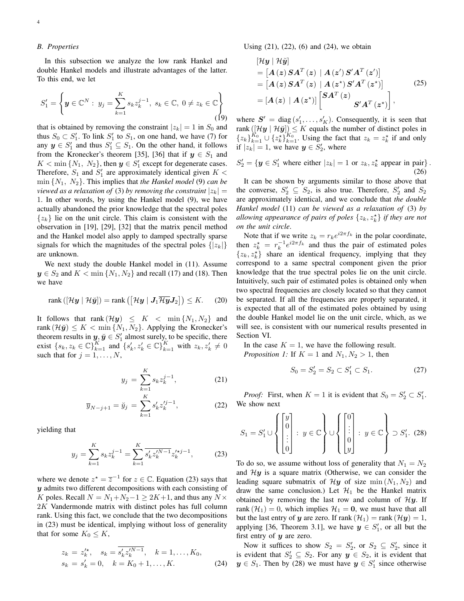# *B. Properties*

In this subsection we analyze the low rank Hankel and double Hankel models and illustrate advantages of the latter. To this end, we let

$$
S_1' = \left\{ \mathbf{y} \in \mathbb{C}^N : y_j = \sum_{k=1}^K s_k z_k^{j-1}, \ s_k \in \mathbb{C}, \ 0 \neq z_k \in \mathbb{C} \right\}
$$
(19)

that is obtained by removing the constraint  $|z_k| = 1$  in  $S_0$  and thus  $S_0 \subset S_1'$ . To link  $S_1'$  to  $S_1$ , on one hand, we have (7) for any  $y \in S'_1$  and thus  $S'_1 \subseteq S_1$ . On the other hand, it follows from the Kronecker's theorem [35], [36] that if  $y \in S_1$  and  $K < \min\{N_1, N_2\}$ , then  $y \in S'_1$  except for degenerate cases. Therefore,  $S_1$  and  $S'_1$  are approximately identical given  $K <$ min {N1, N2}. This implies that *the Hankel model* (9) *can be viewed as a relaxation of* (3) *by removing the constraint*  $|z_k|$  = 1. In other words, by using the Hankel model (9), we have actually abandoned the prior knowledge that the spectral poles  $\{z_k\}$  lie on the unit circle. This claim is consistent with the observation in [19], [29], [32] that the matrix pencil method and the Hankel model also apply to damped spectrally sparse signals for which the magnitudes of the spectral poles  $\{|z_k|\}$ are unknown.

We next study the double Hankel model in (11). Assume  $y \in S_2$  and  $K < \min\{N_1, N_2\}$  and recall (17) and (18). Then we have

$$
rank([\mathcal{H}\boldsymbol{y} \mid \mathcal{H}\boldsymbol{\check{y}}]) = rank([\mathcal{H}\boldsymbol{y} \mid \boldsymbol{J}_1 \overline{\mathcal{H}\boldsymbol{y}} \boldsymbol{J}_2]) \leq K. \tag{20}
$$

It follows that rank  $(\mathcal{H}y) \leq K < \min\{N_1, N_2\}$  and rank  $(\mathcal{H}\check{y}) \leq K < \min\{N_1, N_2\}$ . Applying the Kronecker's theorem results in  $y, \check{y} \in S'_1$  almost surely, to be specific, there exist  ${s_k, z_k \in \mathbb{C}}_{k=1}^K$  and  ${s'_k, z'_k \in \mathbb{C}}_{k=1}^K$  with  $z_k, z'_k \neq 0$ such that for  $j = 1, \ldots, N$ ,

$$
y_j = \sum_{k=1}^{K} s_k z_k^{j-1},
$$
 (21)

$$
\overline{y}_{N-j+1} = \check{y}_j = \sum_{k=1}^{K} s'_k z_k^{j-1},
$$
\n(22)

yielding that

$$
y_j = \sum_{k=1}^{K} s_k z_k^{j-1} = \sum_{k=1}^{K} \overline{s'_k z_k^{N-1}} z_k^{k+1},
$$
 (23)

where we denote  $z^* = \overline{z}^{-1}$  for  $z \in \mathbb{C}$ . Equation (23) says that  $y$  admits two different decompositions with each consisting of K poles. Recall  $N = N_1 + N_2 - 1 \ge 2K + 1$ , and thus any  $N \times$ 2K Vandermonde matrix with distinct poles has full column rank. Using this fact, we conclude that the two decompositions in (23) must be identical, implying without loss of generality that for some  $K_0 \leq K$ ,

$$
z_k = z_k^{k}, \quad s_k = \overline{s_k^{k'} z_k^{N-1}}, \quad k = 1, ..., K_0,
$$
  

$$
s_k = s_k^{k'} = 0, \quad k = K_0 + 1, ..., K.
$$
 (24)

Using (21), (22), (6) and (24), we obtain

$$
[\mathcal{H}y \mid \mathcal{H}\breve{y}]
$$
  
= 
$$
[A(z) S A^{T}(z) \mid A(z') S' A^{T}(z')]
$$
  
= 
$$
[A(z) S A^{T}(z) \mid A(z^{*}) S' A^{T}(z^{*})]
$$
  
= 
$$
[A(z) \mid A(z^{*})] \begin{bmatrix} S A^{T}(z) \\ S' A^{T}(z^{*}) \end{bmatrix},
$$
 (25)

where  $S' = \text{diag}(s'_1, \dots, s'_K)$ . Consequently, it is seen that rank  $([\mathcal{H} \mathbf{y} \mid \mathcal{H} \mathbf{y}]) \leq K$  equals the number of distinct poles in  ${z_k}_{k=1}^{K_0} \cup {z_k^*}_{k=1}^{K_0}$ . Using the fact that  $z_k = z_k^*$  if and only if  $|z_k| = 1$ , we have  $y \in S'_2$ , where

$$
S_2' = \{ \mathbf{y} \in S_1' \text{ where either } |z_k| = 1 \text{ or } z_k, z_k^* \text{ appear in pair} \}.
$$
\n(26)

It can be shown by arguments similar to those above that the converse,  $S'_2 \subseteq S_2$ , is also true. Therefore,  $S'_2$  and  $S_2$ are approximately identical, and we conclude that *the double Hankel model* (11) *can be viewed as a relaxation of* (3) *by* allowing appearance of pairs of poles  $\{z_k, z_k^{\star}\}$  if they are not *on the unit circle*.

Note that if we write  $z_k = r_k e^{i2\pi f_k}$  in the polar coordinate, then  $z_k^* = r_k^{-1} e^{i2\pi f_k}$  and thus the pair of estimated poles  $\{z_k, z_k^{\star}\}\$  share an identical frequency, implying that they correspond to a same spectral component given the prior knowledge that the true spectral poles lie on the unit circle. Intuitively, such pair of estimated poles is obtained only when two spectral frequencies are closely located so that they cannot be separated. If all the frequencies are properly separated, it is expected that all of the estimated poles obtained by using the double Hankel model lie on the unit circle, which, as we will see, is consistent with our numerical results presented in Section VI.

In the case  $K = 1$ , we have the following result. *Proposition 1:* If  $K = 1$  and  $N_1, N_2 > 1$ , then

$$
S_0 = S_2' = S_2 \subset S_1' \subset S_1. \tag{27}
$$

*Proof:* First, when  $K = 1$  it is evident that  $S_0 = S_2' \subset S_1'$ . We show next

$$
S_1 = S_1' \cup \left\{ \begin{bmatrix} y \\ 0 \\ \vdots \\ 0 \end{bmatrix} : y \in \mathbb{C} \right\} \cup \left\{ \begin{bmatrix} 0 \\ \vdots \\ 0 \\ y \end{bmatrix} : y \in \mathbb{C} \right\} \supset S_1'. \tag{28}
$$

To do so, we assume without loss of generality that  $N_1 = N_2$ and  $Hy$  is a square matrix (Otherwise, we can consider the leading square submatrix of  $\mathcal{H}y$  of size min  $(N_1, N_2)$  and draw the same conclusion.) Let  $\mathcal{H}_1$  be the Hankel matrix obtained by removing the last row and column of  $\mathcal{H}y$ . If rank  $(\mathcal{H}_1) = 0$ , which implies  $\mathcal{H}_1 = 0$ , we must have that all but the last entry of y are zero. If rank  $(\mathcal{H}_1)$  = rank  $(\mathcal{H}_2)$  = 1, applying [36, Theorem 3.1], we have  $y \in S'_1$ , or all but the first entry of  $y$  are zero.

Now it suffices to show  $S_2 = S_2'$ , or  $S_2 \subseteq S_2'$ , since it is evident that  $S'_2 \subseteq S_2$ . For any  $y \in S_2$ , it is evident that  $y \in S_1$ . Then by (28) we must have  $y \in S'_1$  since otherwise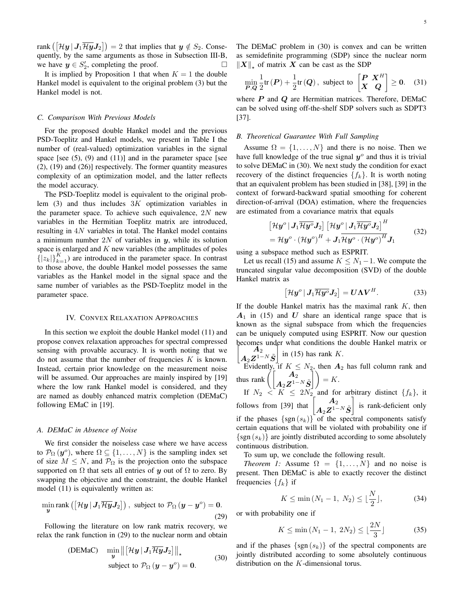rank  $\left(\left[\mathcal{H}\bm{y}\,|\,\bm{J}_1\overline{\mathcal{H}\bm{y}}\bm{J}_2\right]\right)=2$  that implies that  $\bm{y}\notin S_2.$  Consequently, by the same arguments as those in Subsection III-B, we have  $y \in S'_2$ , completing the proof.

It is implied by Proposition 1 that when  $K = 1$  the double Hankel model is equivalent to the original problem (3) but the Hankel model is not.

#### *C. Comparison With Previous Models*

For the proposed double Hankel model and the previous PSD-Toeplitz and Hankel models, we present in Table I the number of (real-valued) optimization variables in the signal space [see  $(5)$ ,  $(9)$  and  $(11)$ ] and in the parameter space [see (2), (19) and (26)] respectively. The former quantity measures complexity of an optimization model, and the latter reflects the model accuracy.

The PSD-Toeplitz model is equivalent to the original problem  $(3)$  and thus includes  $3K$  optimization variables in the parameter space. To achieve such equivalence,  $2N$  new variables in the Hermitian Toeplitz matrix are introduced, resulting in  $4N$  variables in total. The Hankel model contains a minimum number 2N of variables in  $y$ , while its solution space is enlarged and  $K$  new variables (the amplitudes of poles  $\{ |z_k| \}_{k=1}^K$ ) are introduced in the parameter space. In contrast to those above, the double Hankel model possesses the same variables as the Hankel model in the signal space and the same number of variables as the PSD-Toeplitz model in the parameter space.

#### IV. CONVEX RELAXATION APPROACHES

In this section we exploit the double Hankel model (11) and propose convex relaxation approaches for spectral compressed sensing with provable accuracy. It is worth noting that we do not assume that the number of frequencies  $K$  is known. Instead, certain prior knowledge on the measurement noise will be assumed. Our approaches are mainly inspired by [19] where the low rank Hankel model is considered, and they are named as doubly enhanced matrix completion (DEMaC) following EMaC in [19].

#### *A. DEMaC in Absence of Noise*

We first consider the noiseless case where we have access to  $\mathcal{P}_{\Omega}(\mathbf{y}^o)$ , where  $\Omega \subseteq \{1, \ldots, N\}$  is the sampling index set of size  $M \leq N$ , and  $\mathcal{P}_{\Omega}$  is the projection onto the subspace supported on  $\Omega$  that sets all entries of y out of  $\Omega$  to zero. By swapping the objective and the constraint, the double Hankel model (11) is equivalently written as:

$$
\min_{\mathbf{y}} \text{rank}\left(\left[\mathcal{H}\mathbf{y} \,|\, \mathbf{J}_1 \overline{\mathcal{H}\mathbf{y}} \mathbf{J}_2\right]\right), \text{ subject to } \mathcal{P}_{\Omega} \left(\mathbf{y} - \mathbf{y}^o\right) = \mathbf{0}.\tag{29}
$$

Following the literature on low rank matrix recovery, we relax the rank function in (29) to the nuclear norm and obtain

$$
\text{(DEMac)} \quad \min_{\mathbf{y}} \left\| \left[ \mathcal{H}\mathbf{y} \, | \, \mathbf{J}_1 \overline{\mathcal{H}\mathbf{y}} \mathbf{J}_2 \right] \right\|_{\star} \tag{30}
$$
\n
$$
\text{subject to } \mathcal{P}_{\Omega} \left( \mathbf{y} - \mathbf{y}^o \right) = \mathbf{0}.
$$

The DEMaC problem in (30) is convex and can be written as semidefinite programming (SDP) since the nuclear norm  $\|X\|_{\star}$  of matrix X can be cast as the SDP

$$
\min_{\boldsymbol{P},\boldsymbol{Q}} \frac{1}{2} \text{tr}\left(\boldsymbol{P}\right) + \frac{1}{2} \text{tr}\left(\boldsymbol{Q}\right), \text{ subject to } \begin{bmatrix} \boldsymbol{P} & \boldsymbol{X}^{H} \\ \boldsymbol{X} & \boldsymbol{Q} \end{bmatrix} \geq \boldsymbol{0}. \tag{31}
$$

where  $P$  and  $Q$  are Hermitian matrices. Therefore, DEMaC can be solved using off-the-shelf SDP solvers such as SDPT3 [37].

#### *B. Theoretical Guarantee With Full Sampling*

Assume  $\Omega = \{1, \ldots, N\}$  and there is no noise. Then we have full knowledge of the true signal  $y^{\circ}$  and thus it is trivial to solve DEMaC in (30). We next study the condition for exact recovery of the distinct frequencies  $\{f_k\}$ . It is worth noting that an equivalent problem has been studied in [38], [39] in the context of forward-backward spatial smoothing for coherent direction-of-arrival (DOA) estimation, where the frequencies are estimated from a covariance matrix that equals

$$
\[\mathcal{H}\mathbf{y}^o \,|\, \mathbf{J}_1 \overline{\mathcal{H}\mathbf{y}^o} \mathbf{J}_2] \, \left[ \mathcal{H}\mathbf{y}^o \,|\, \mathbf{J}_1 \overline{\mathcal{H}\mathbf{y}^o} \mathbf{J}_2 \right]^H
$$
\n
$$
= \mathcal{H}\mathbf{y}^o \cdot \left( \mathcal{H}\mathbf{y}^o \right)^H + \mathbf{J}_1 \overline{\mathcal{H}\mathbf{y}^o \cdot \left( \mathcal{H}\mathbf{y}^o \right)^H} \mathbf{J}_1 \tag{32}
$$

using a subspace method such as ESPRIT.

Let us recall (15) and assume  $K \leq N_1-1$ . We compute the truncated singular value decomposition (SVD) of the double Hankel matrix as

$$
\left[\mathcal{H}\mathbf{y}^o \,|\, \mathbf{J}_1 \overline{\mathcal{H}\mathbf{y}^o} \mathbf{J}_2\right] = \mathbf{U} \mathbf{\Lambda} \mathbf{V}^H. \tag{33}
$$

If the double Hankel matrix has the maximal rank  $K$ , then  $A_1$  in (15) and U share an identical range space that is known as the signal subspace from which the frequencies can be uniquely computed using ESPRIT. Now our question becomes under what conditions the double Hankel matrix or

$$
\begin{bmatrix} A_2 \\ A_2 Z^{1-N} \tilde{S} \end{bmatrix}
$$
 in (15) has rank K.  
Evidently if  $K < N_2$  then A<sub>2</sub>

Evidently, if  $K \leq N_2$ , then  $A_2$  has full column rank and thus rank  $\left( \begin{bmatrix} A_2 \ A_2 \mathbf{Z}^{1-N} \tilde{\mathbf{S}} \end{bmatrix} \right) = K.$ 

If  $N_2 < K \leq 2N_2$  and for arbitrary distinct  $\{f_k\}$ , it follows from [39] that  $\begin{bmatrix} A_2 \ A_3 \end{bmatrix}$  $\boldsymbol{A}_2\boldsymbol{Z}^{1-N}\tilde{\boldsymbol{S}}$  is rank-deficient only if the phases  $\{sgn(s_k)\}\$  of the spectral components satisfy certain equations that will be violated with probability one if  $\{sgn(s_k)\}\$ are jointly distributed according to some absolutely continuous distribution.

To sum up, we conclude the following result.

*Theorem 1:* Assume  $\Omega = \{1, \ldots, N\}$  and no noise is present. Then DEMaC is able to exactly recover the distinct frequencies  $\{f_k\}$  if

$$
K \le \min\,(N_1 - 1, \ N_2) \le \lfloor \frac{N}{2} \rfloor,\tag{34}
$$

or with probability one if

$$
K \le \min\,(N_1 - 1, \ 2N_2) \le \lfloor \frac{2N}{3} \rfloor \tag{35}
$$

and if the phases  $\{sgn(s_k)\}\$  of the spectral components are jointly distributed according to some absolutely continuous distribution on the K-dimensional torus.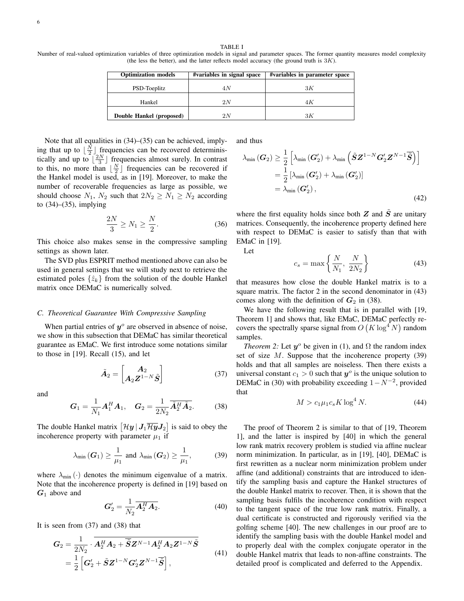#### TABLE I

Number of real-valued optimization variables of three optimization models in signal and parameter spaces. The former quantity measures model complexity (the less the better), and the latter reflects model accuracy (the ground truth is  $3K$ ).

| <b>Optimization models</b> | #variables in signal space | #variables in parameter space |
|----------------------------|----------------------------|-------------------------------|
| PSD-Toeplitz               | 4 N                        | ЗK                            |
| Hankel                     | 2N                         | 4 K                           |
| Double Hankel (proposed)   | 2N                         | ЗK                            |

Note that all equalities in (34)–(35) can be achieved, implying that up to  $\lfloor \frac{N}{2} \rfloor$  frequencies can be recovered deterministically and up to  $\left[\frac{2N}{3}\right]$  frequencies almost surely. In contrast to this, no more than  $\lfloor \frac{N}{2} \rfloor$  frequencies can be recovered if the Hankel model is used, as in [19]. Moreover, to make the number of recoverable frequencies as large as possible, we should choose  $N_1$ ,  $N_2$  such that  $2N_2 \ge N_1 \ge N_2$  according to (34)–(35), implying

$$
\frac{2N}{3} \ge N_1 \ge \frac{N}{2}.\tag{36}
$$

This choice also makes sense in the compressive sampling settings as shown later.

The SVD plus ESPRIT method mentioned above can also be used in general settings that we will study next to retrieve the estimated poles  $\{\hat{z}_k\}$  from the solution of the double Hankel matrix once DEMaC is numerically solved.

#### *C. Theoretical Guarantee With Compressive Sampling*

When partial entries of  $y^{\circ}$  are observed in absence of noise, we show in this subsection that DEMaC has similar theoretical guarantee as EMaC. We first introduce some notations similar to those in [19]. Recall (15), and let

$$
\tilde{A}_2 = \begin{bmatrix} A_2 \\ A_2 Z^{1-N} \tilde{S} \end{bmatrix} \tag{37}
$$

and

$$
G_1 = \frac{1}{N_1} A_1^H A_1, \quad G_2 = \frac{1}{2N_2} \overline{\tilde{A}_2^H \tilde{A}_2}.
$$
 (38)

The double Hankel matrix  $\left[\mathcal{H}\bm{y}\,|\,\bm{J}_1\overline{\mathcal{H}\bm{y}}\bm{J}_2\right]$  is said to obey the incoherence property with parameter  $\mu_1$  if

$$
\lambda_{\min}(\boldsymbol{G}_1) \ge \frac{1}{\mu_1} \text{ and } \lambda_{\min}(\boldsymbol{G}_2) \ge \frac{1}{\mu_1},
$$
 (39)

where  $\lambda_{\min}(\cdot)$  denotes the minimum eigenvalue of a matrix. Note that the incoherence property is defined in [19] based on  $G_1$  above and

$$
G_2' = \frac{1}{N_2} \overline{A_2^H A_2}.
$$
 (40)

It is seen from (37) and (38) that

$$
G_2 = \frac{1}{2N_2} \cdot \overline{A_2^H A_2 + \overline{\widetilde{S}} Z^{N-1} A_2^H A_2 Z^{1-N} \widetilde{S}}
$$
  
= 
$$
\frac{1}{2} \left[ G_2' + \widetilde{S} Z^{1-N} G_2' Z^{N-1} \overline{\widetilde{S}} \right],
$$
 (41)

and thus

$$
\lambda_{\min}(\boldsymbol{G}_{2}) \geq \frac{1}{2} \left[ \lambda_{\min}(\boldsymbol{G}_{2}') + \lambda_{\min} \left( \tilde{\boldsymbol{S}} \boldsymbol{Z}^{1-N} \boldsymbol{G}_{2}' \boldsymbol{Z}^{N-1} \overline{\tilde{\boldsymbol{S}}} \right) \right]
$$
  
= 
$$
\frac{1}{2} \left[ \lambda_{\min} (\boldsymbol{G}_{2}') + \lambda_{\min} (\boldsymbol{G}_{2}') \right]
$$
  
= 
$$
\lambda_{\min} (\boldsymbol{G}_{2}'), \qquad (42)
$$

where the first equality holds since both  $Z$  and  $\tilde{S}$  are unitary matrices. Consequently, the incoherence property defined here with respect to DEMaC is easier to satisfy than that with EMaC in [19].

Let

$$
c_s = \max\left\{\frac{N}{N_1}, \frac{N}{2N_2}\right\} \tag{43}
$$

that measures how close the double Hankel matrix is to a square matrix. The factor 2 in the second denominator in  $(43)$ comes along with the definition of  $G_2$  in (38).

We have the following result that is in parallel with [19, Theorem 1] and shows that, like EMaC, DEMaC perfectly recovers the spectrally sparse signal from  $O(K \log^4 N)$  random samples.

*Theorem 2:* Let  $y^{\circ}$  be given in (1), and  $\Omega$  the random index set of size  $M$ . Suppose that the incoherence property (39) holds and that all samples are noiseless. Then there exists a universal constant  $c_1 > 0$  such that  $y^{\circ}$  is the unique solution to DEMaC in (30) with probability exceeding  $1 - N^{-2}$ , provided that

$$
M > c_1 \mu_1 c_s K \log^4 N. \tag{44}
$$

The proof of Theorem 2 is similar to that of [19, Theorem 1], and the latter is inspired by [40] in which the general low rank matrix recovery problem is studied via affine nuclear norm minimization. In particular, as in [19], [40], DEMaC is first rewritten as a nuclear norm minimization problem under affine (and additional) constraints that are introduced to identify the sampling basis and capture the Hankel structures of the double Hankel matrix to recover. Then, it is shown that the sampling basis fulfils the incoherence condition with respect to the tangent space of the true low rank matrix. Finally, a dual certificate is constructed and rigorously verified via the golfing scheme [40]. The new challenges in our proof are to identify the sampling basis with the double Hankel model and to properly deal with the complex conjugate operator in the double Hankel matrix that leads to non-affine constraints. The detailed proof is complicated and deferred to the Appendix.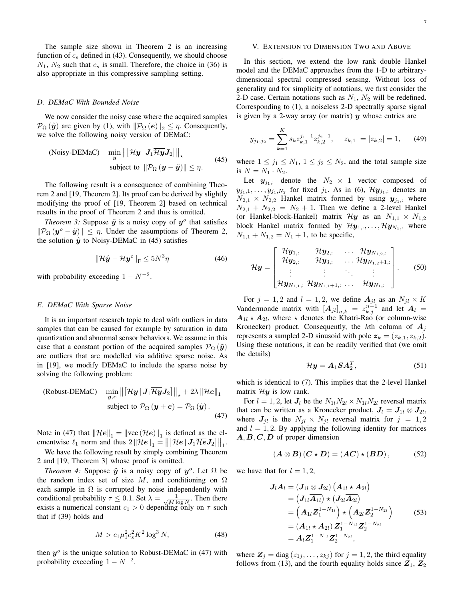The sample size shown in Theorem 2 is an increasing function of  $c_s$  defined in (43). Consequently, we should choose  $N_1$ ,  $N_2$  such that  $c_s$  is small. Therefore, the choice in (36) is also appropriate in this compressive sampling setting.

#### *D. DEMaC With Bounded Noise*

We now consider the noisy case where the acquired samples  $\mathcal{P}_{\Omega}(\tilde{\mathbf{y}})$  are given by (1), with  $\|\mathcal{P}_{\Omega}(e)\|_{2} \leq \eta$ . Consequently, we solve the following noisy version of DEMaC:

(Noisy-DEMac) 
$$
\min_{\mathbf{y}} \left\| \left[ \mathcal{H}\mathbf{y} \, | \, \mathbf{J}_1 \overline{\mathcal{H}\mathbf{y}} \mathbf{J}_2 \right] \right\|_{\star}
$$
  
subject to 
$$
\|\mathcal{P}_{\Omega} \left( \mathbf{y} - \tilde{\mathbf{y}} \right) \| \le \eta.
$$
 (45)

The following result is a consequence of combining Theorem 2 and [19, Theorem 2]. Its proof can be derived by slightly modifying the proof of [19, Theorem 2] based on technical results in the proof of Theorem 2 and thus is omitted.

*Theorem 3:* Suppose  $\tilde{y}$  is a noisy copy of  $y^{\circ}$  that satisfies  $\|\mathcal{P}_{\Omega}(\bm{y}^o - \tilde{\bm{y}})\| \leq \eta$ . Under the assumptions of Theorem 2, the solution  $\hat{y}$  to Noisy-DEMaC in (45) satisfies

$$
\|\mathcal{H}\hat{\mathbf{y}} - \mathcal{H}\mathbf{y}^o\|_{\mathrm{F}} \le 5N^3\eta \tag{46}
$$

with probability exceeding  $1 - N^{-2}$ .

## *E. DEMaC With Sparse Noise*

It is an important research topic to deal with outliers in data samples that can be caused for example by saturation in data quantization and abnormal sensor behaviors. We assume in this case that a constant portion of the acquired samples  $\mathcal{P}_{\Omega}(\tilde{\mathbf{y}})$ are outliers that are modelled via additive sparse noise. As in [19], we modify DEMaC to include the sparse noise by solving the following problem:

(Robust-DEMac) 
$$
\min_{\mathbf{y},\mathbf{e}} \left\| \left[ \mathcal{H}\mathbf{y} \, | \, \mathbf{J}_1 \overline{\mathcal{H} \mathbf{y}} \mathbf{J}_2 \right] \right\|_{\star} + 2\lambda \, \|\mathcal{H} \mathbf{e} \|_1
$$
  
subject to  $\mathcal{P}_{\Omega} (\mathbf{y} + \mathbf{e}) = \mathcal{P}_{\Omega} (\tilde{\mathbf{y}}).$  (47)

Note in (47) that  $\|\mathcal{H}e\|_1 = \|\text{vec}(\mathcal{H}e)\|_1$  is defined as the elementwise  $\ell_1$  norm and thus  $2 \|\mathcal{H}e\|_1 = \left\| \left[\mathcal{H}e \,|\, \mathbf{J}_1 \overline{\mathcal{H}e} \mathbf{J}_2 \right] \right\|_1$ .

We have the following result by simply combining Theorem 2 and [19, Theorem 3] whose proof is omitted.

*Theorem 4:* Suppose  $\tilde{y}$  is a noisy copy of  $y^o$ . Let  $\Omega$  be the random index set of size M, and conditioning on  $\Omega$ each sample in  $\Omega$  is corrupted by noise independently with conditional probability  $\tau \leq 0.1$ . Set  $\lambda = \frac{1}{\sqrt{M \log N}}$ . Then there exists a numerical constant  $c_1 > 0$  depending only on  $\tau$  such that if (39) holds and

$$
M > c_1 \mu_1^2 c_s^2 K^2 \log^3 N,\tag{48}
$$

then  $y^{\circ}$  is the unique solution to Robust-DEMaC in (47) with probability exceeding  $1 - N^{-2}$ .

#### V. EXTENSION TO DIMENSION TWO AND ABOVE

In this section, we extend the low rank double Hankel model and the DEMaC approaches from the 1-D to arbitrarydimensional spectral compressed sensing. Without loss of generality and for simplicity of notations, we first consider the 2-D case. Certain notations such as  $N_1$ ,  $N_2$  will be redefined. Corresponding to (1), a noiseless 2-D spectrally sparse signal is given by a 2-way array (or matrix)  $y$  whose entries are

$$
y_{j_1,j_2} = \sum_{k=1}^{K} s_k z_{k,1}^{j_1-1} z_{k,2}^{j_2-1}, \quad |z_{k,1}| = |z_{k,2}| = 1, \quad (49)
$$

where  $1 \le j_1 \le N_1$ ,  $1 \le j_2 \le N_2$ , and the total sample size is  $N = N_1 \cdot N_2$ .

Let  $y_{j_1,:}$  denote the  $N_2 \times 1$  vector composed of  $y_{j_1,1}, \ldots, y_{j_1,N_2}$  for fixed  $j_1$ . As in (6),  $\mathcal{H} \mathbf{y}_{j_1,:}$  denotes an  $N_{2,1} \times N_{2,2}$  Hankel matrix formed by using  $y_{j_1,:}$  where  $N_{2,1} + N_{2,2} = N_2 + 1$ . Then we define a 2-level Hankel (or Hankel-block-Hankel) matrix  $\mathcal{H}y$  as an  $N_{1,1} \times N_{1,2}$ block Hankel matrix formed by  $\mathcal{H} \mathbf{y}_{1,:}, \ldots, \mathcal{H} \mathbf{y}_{N_1,:}$  where  $N_{1,1} + N_{1,2} = N_1 + 1$ , to be specific,

$$
\mathcal{H}\boldsymbol{y} = \begin{bmatrix} \mathcal{H}\boldsymbol{y}_{1,:} & \mathcal{H}\boldsymbol{y}_{2,:} & \dots & \mathcal{H}\boldsymbol{y}_{N_{1,2,:}} \\ \mathcal{H}\boldsymbol{y}_{2,:} & \mathcal{H}\boldsymbol{y}_{3,:} & \dots & \mathcal{H}\boldsymbol{y}_{N_{1,2}+1,:} \\ \vdots & \vdots & \ddots & \vdots \\ \mathcal{H}\boldsymbol{y}_{N_{1,1,:}} & \mathcal{H}\boldsymbol{y}_{N_{1,1}+1,:} & \dots & \mathcal{H}\boldsymbol{y}_{N_{1,:}} \end{bmatrix} . \tag{50}
$$

For  $j = 1, 2$  and  $l = 1, 2$ , we define  $A_{jl}$  as an  $N_{jl} \times K$ Vandermonde matrix with  $[A_{jl}]_{n,k} = z_{k,j}^{n-1}$  and let  $A_l =$  $A_{1l} \star A_{2l}$ , where  $\star$  denotes the Khatri-Rao (or column-wise Kronecker) product. Consequently, the kth column of  $A_i$ represents a sampled 2-D sinusoid with pole  $z_k = (z_{k,1}, z_{k,2})$ . Using these notations, it can be readily verified that (we omit the details)

$$
\mathcal{H}\mathbf{y} = \mathbf{A}_1 \mathbf{S} \mathbf{A}_2^T, \tag{51}
$$

which is identical to (7). This implies that the 2-level Hankel matrix  $\mathcal{H}y$  is low rank.

For  $l = 1, 2$ , let  $J_l$  be the  $N_{1l}N_{2l} \times N_{1l}N_{2l}$  reversal matrix that can be written as a Kronecker product,  $J_l = J_{1l} \otimes J_{2l}$ , where  $J_{jl}$  is the  $N_{jl} \times N_{jl}$  reversal matrix for  $j = 1, 2$ and  $l = 1, 2$ . By applying the following identity for matrices  $A, B, C, D$  of proper dimension

$$
(A \otimes B)(C \star D) = (AC) \star (BD), \tag{52}
$$

we have that for  $l = 1, 2$ ,

$$
J_{l}\overline{A_{l}} = (J_{1l} \otimes J_{2l}) (\overline{A_{1l}} \star \overline{A_{2l}})
$$
  
\n
$$
= (J_{1l}\overline{A_{1l}}) \star (J_{2l}\overline{A_{2l}})
$$
  
\n
$$
= (A_{1l}\overline{Z}_{1}^{1-N_{1l}}) \star (A_{2l}\overline{Z}_{2}^{1-N_{2l}})
$$
  
\n
$$
= (A_{1l} \star A_{2l}) \overline{Z}_{1}^{1-N_{1l}} \overline{Z}_{2}^{1-N_{2l}}
$$
  
\n
$$
= A_{l}\overline{Z}_{1}^{1-N_{1l}} \overline{Z}_{2}^{1-N_{2l}},
$$
\n(53)

where  $Z_j = \text{diag}(z_{1j}, \dots, z_{kj})$  for  $j = 1, 2$ , the third equality follows from (13), and the fourth equality holds since  $Z_1, Z_2$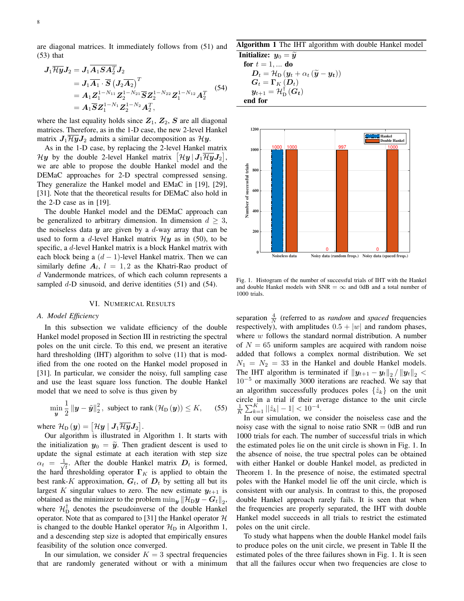are diagonal matrices. It immediately follows from (51) and (53) that

$$
J_{1}\overline{\mathcal{H}y}J_{2} = J_{1}\overline{A_{1}S}A_{2}^{T}J_{2}
$$
  
=  $J_{1}\overline{A_{1}} \cdot \overline{S} (\overline{J_{2}A_{2}})^{T}$   
=  $A_{1}\mathbf{Z}_{1}^{1-N_{11}}\mathbf{Z}_{2}^{1-N_{21}}\overline{S}\mathbf{Z}_{2}^{1-N_{22}}\mathbf{Z}_{1}^{1-N_{12}}A_{2}^{T}$  (54)  
=  $A_{1}\overline{S}\mathbf{Z}_{1}^{1-N_{1}}\mathbf{Z}_{2}^{1-N_{2}}A_{2}^{T}$ ,

where the last equality holds since  $Z_1$ ,  $Z_2$ ,  $S$  are all diagonal matrices. Therefore, as in the 1-D case, the new 2-level Hankel matrix  $J_1\overline{\mathcal{H}y}J_2$  admits a similar decomposition as  $\mathcal{H}y$ .

As in the 1-D case, by replacing the 2-level Hankel matrix  $\mathcal{H} \bm{y}$  by the double 2-level Hankel matrix  $[\mathcal{H} \bm{y} \, | \, \bm{J}_1 \overline{\mathcal{H}} \overline{\bm{y}} \, \bm{J}_2],$ we are able to propose the double Hankel model and the DEMaC approaches for 2-D spectral compressed sensing. They generalize the Hankel model and EMaC in [19], [29], [31]. Note that the theoretical results for DEMaC also hold in the 2-D case as in [19].

The double Hankel model and the DEMaC approach can be generalized to arbitrary dimension. In dimension  $d \geq 3$ , the noiseless data  $y$  are given by a  $d$ -way array that can be used to form a d-level Hankel matrix  $\mathcal{H}y$  as in (50), to be specific, a d-level Hankel matrix is a block Hankel matrix with each block being a  $(d-1)$ -level Hankel matrix. Then we can similarly define  $A_l$ ,  $l = 1, 2$  as the Khatri-Rao product of d Vandermonde matrices, of which each column represents a sampled  $d$ -D sinusoid, and derive identities (51) and (54).

### VI. NUMERICAL RESULTS

#### *A. Model Efficiency*

In this subsection we validate efficiency of the double Hankel model proposed in Section III in restricting the spectral poles on the unit circle. To this end, we present an iterative hard thresholding (IHT) algorithm to solve (11) that is modified from the one rooted on the Hankel model proposed in [31]. In particular, we consider the noisy, full sampling case and use the least square loss function. The double Hankel model that we need to solve is thus given by

$$
\min_{\boldsymbol{y}} \frac{1}{2} \|\boldsymbol{y} - \tilde{\boldsymbol{y}}\|_2^2, \text{ subject to } \text{rank}\left(\mathcal{H}_D\left(\boldsymbol{y}\right)\right) \le K, \qquad (55)
$$

where  $\mathcal{H}_{\text{D}}\left(\boldsymbol{y}\right) = \left[\mathcal{H}\boldsymbol{y} \mid \boldsymbol{J}_{1} \overline{\mathcal{H}\boldsymbol{y}} \boldsymbol{J}_{2}\right]$ .

Our algorithm is illustrated in Algorithm 1. It starts with the initialization  $y_0 = \tilde{y}$ . Then gradient descent is used to update the signal estimate at each iteration with step size  $\alpha_t = \frac{1}{\sqrt{2}}$  $\overline{t}$ . After the double Hankel matrix  $D_t$  is formed, the hard thresholding operator  $\Gamma_K$  is applied to obtain the best rank-K approximation,  $G_t$ , of  $D_t$  by setting all but its largest K singular values to zero. The new estimate  $y_{t+1}$  is obtained as the minimizer to the problem  $\min_{\bm{y}} \|\mathcal{H}_{\mathrm{D}}\bm{y} - \bm{G}_t\|_2$ , where  $\mathcal{H}_{\text{D}}^{\dagger}$  denotes the pseudoinverse of the double Hankel operator. Note that as compared to [31] the Hankel operator  $H$ is changed to the double Hankel operator  $\mathcal{H}_D$  in Algorithm 1, and a descending step size is adopted that empirically ensures feasibility of the solution once converged.

In our simulation, we consider  $K = 3$  spectral frequencies that are randomly generated without or with a minimum

# Algorithm 1 The IHT algorithm with double Hankel model

Initialize:  $y_0 = \tilde{y}$ for  $t = 1, \ldots$  do  $\boldsymbol{D}_t = \mathcal{H}_\text{D} \left( \boldsymbol{y}_t + \alpha_t \left( \widetilde{\boldsymbol{y}} - \boldsymbol{y_t} \right) \right)$  $\boldsymbol{G}_{t}=\boldsymbol{\Gamma}_{K}\left(\boldsymbol{D}_{t}\right)$  $\boldsymbol{y}_{t+1} = \mathcal{H}^{\dagger}_{\text{D}}\left(\boldsymbol{G_t}\right)$ end for



Fig. 1. Histogram of the number of successful trials of IHT with the Hankel and double Hankel models with  $SNR = \infty$  and 0dB and a total number of 1000 trials.

separation  $\frac{4}{N}$  (referred to as *random* and *spaced* frequencies respectively), with amplitudes  $0.5 + |w|$  and random phases, where  $w$  follows the standard normal distribution. A number of  $N = 65$  uniform samples are acquired with random noise added that follows a complex normal distribution. We set  $N_1 = N_2 = 33$  in the Hankel and double Hankel models. The IHT algorithm is terminated if  $||y_{t+1} - y_t||_2 / ||y_t||_2$  <  $10^{-5}$  or maximally 3000 iterations are reached. We say that an algorithm successfully produces poles  $\{\hat{z}_k\}$  on the unit circle in a trial if their average distance to the unit circle  $\frac{1}{K} \sum_{k=1}^{K} ||\hat{z}_k| - 1| < 10^{-4}$ .

In our simulation, we consider the noiseless case and the noisy case with the signal to noise ratio  $SNR = 0dB$  and run 1000 trials for each. The number of successful trials in which the estimated poles lie on the unit circle is shown in Fig. 1. In the absence of noise, the true spectral poles can be obtained with either Hankel or double Hankel model, as predicted in Theorem 1. In the presence of noise, the estimated spectral poles with the Hankel model lie off the unit circle, which is consistent with our analysis. In contrast to this, the proposed double Hankel approach rarely fails. It is seen that when the frequencies are properly separated, the IHT with double Hankel model succeeds in all trials to restrict the estimated poles on the unit circle.

To study what happens when the double Hankel model fails to produce poles on the unit circle, we present in Table II the estimated poles of the three failures shown in Fig. 1. It is seen that all the failures occur when two frequencies are close to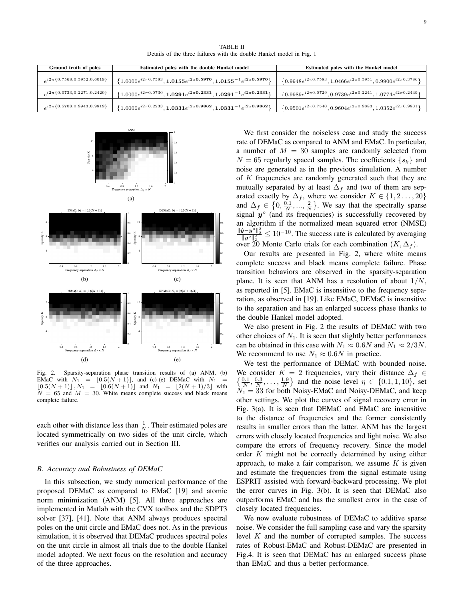TABLE II Details of the three failures with the double Hankel model in Fig. 1

| Ground truth of poles               | Estimated poles with the double Hankel model                                   | Estimated poles with the Hankel model                                     |
|-------------------------------------|--------------------------------------------------------------------------------|---------------------------------------------------------------------------|
| $a^{i2\pi}{0.7568,0.5952,0.6019}$   | $\{1.0000e^{i2\pi0.7583}, 1.0155e^{i2\pi0.5970}, 1.0155^{-1}e^{i2\pi0.5970}\}$ | $\{0.9948e^{i2\pi0.7583}, 1.0466e^{i2\pi0.5951}, 0.9900e^{i2\pi0.3786}\}$ |
| $e^{i2\pi\{0.0733,0.2271,0.2420\}}$ | $\{1.0000e^{i2\pi0.0730}, 1.0291e^{i2\pi0.2331}, 1.0291^{-1}e^{i2\pi0.2331}\}$ | $\{0.9989e^{i2\pi0.0729}, 0.9739e^{i2\pi0.2241}, 1.0774e^{i2\pi0.2449}\}$ |
| $e^{i2\pi\{0.5708,0.9943,0.9819\}}$ | $\{1.0000e^{i2\pi0.2233}, 1.0331e^{i2\pi0.9862}, 1.0331^{-1}e^{i2\pi0.9862}\}$ | $\{0.9501e^{i2\pi0.7540}, 0.9604e^{i2\pi0.9883}, 1.0352e^{i2\pi0.9831}\}$ |



Fig. 2. Sparsity-separation phase transition results of (a) ANM, (b) EMaC with  $N_1 = \lfloor 0.5(N + 1) \rfloor$ , and (c)-(e) DEMaC with  $N_1$  $[0.5(N + 1)], N_1 = [0.6(N + 1)]$  and  $N_1 = [2(N + 1)/3]$  with  $N = 65$  and  $M = 30$ . White means complete success and black means complete failure.

each other with distance less than  $\frac{1}{N}$ . Their estimated poles are located symmetrically on two sides of the unit circle, which verifies our analysis carried out in Section III.

#### *B. Accuracy and Robustness of DEMaC*

In this subsection, we study numerical performance of the proposed DEMaC as compared to EMaC [19] and atomic norm minimization (ANM) [5]. All three approaches are implemented in Matlab with the CVX toolbox and the SDPT3 solver [37], [41]. Note that ANM always produces spectral poles on the unit circle and EMaC does not. As in the previous simulation, it is observed that DEMaC produces spectral poles on the unit circle in almost all trials due to the double Hankel model adopted. We next focus on the resolution and accuracy of the three approaches.

We first consider the noiseless case and study the success rate of DEMaC as compared to ANM and EMaC. In particular, a number of  $M = 30$  samples are randomly selected from  $N = 65$  regularly spaced samples. The coefficients  $\{s_k\}$  and noise are generated as in the previous simulation. A number of K frequencies are randomly generated such that they are mutually separated by at least  $\Delta_f$  and two of them are separated exactly by  $\Delta_f$ , where we consider  $K \in \{1, 2, ..., 20\}$ and  $\Delta_f \in \left\{0, \frac{0.1}{N}, ..., \frac{2}{N}\right\}$ . We say that the spectrally sparse signal  $y^{\circ}$  (and its frequencies) is successfully recovered by an algorithm if the normalized mean squared error (NMSE)  $\frac{\|\hat{\mathbf{y}}-\mathbf{y}^{\circ}\|_{2}^{2}}{\|\mathbf{y}^{\circ}\|_{2}^{2}}$  ≤ 10<sup>-10</sup>. The success rate is calculated by averaging over 20 Monte Carlo trials for each combination  $(K, \Delta_f)$ .

Our results are presented in Fig. 2, where white means complete success and black means complete failure. Phase transition behaviors are observed in the sparsity-separation plane. It is seen that ANM has a resolution of about  $1/N$ , as reported in [5]. EMaC is insensitive to the frequency separation, as observed in [19]. Like EMaC, DEMaC is insensitive to the separation and has an enlarged success phase thanks to the double Hankel model adopted.

We also present in Fig. 2 the results of DEMaC with two other choices of  $N_1$ . It is seen that slightly better performances can be obtained in this case with  $N_1 \approx 0.6N$  and  $N_1 \approx 2/3N$ . We recommend to use  $N_1 \approx 0.6N$  in practice.

We test the performance of DEMaC with bounded noise. We consider  $K = 2$  frequencies, vary their distance  $\Delta_f \in$  $\{\frac{0.1}{N}, \frac{0.3}{N}, \dots, \frac{1.9}{N}\}\$  and the noise level  $\eta \in \{0.1, 1, 10\}$ , set  $N_1 = 33$  for both Noisy-EMaC and Noisy-DEMaC, and keep other settings. We plot the curves of signal recovery error in Fig. 3(a). It is seen that DEMaC and EMaC are insensitive to the distance of frequencies and the former consistently results in smaller errors than the latter. ANM has the largest errors with closely located frequencies and light noise. We also compare the errors of frequency recovery. Since the model order K might not be correctly determined by using either approach, to make a fair comparison, we assume  $K$  is given and estimate the frequencies from the signal estimate using ESPRIT assisted with forward-backward processing. We plot the error curves in Fig. 3(b). It is seen that DEMaC also outperforms EMaC and has the smallest error in the case of closely located frequencies.

We now evaluate robustness of DEMaC to additive sparse noise. We consider the full sampling case and vary the sparsity level  $K$  and the number of corrupted samples. The success rates of Robust-EMaC and Robust-DEMaC are presented in Fig.4. It is seen that DEMaC has an enlarged success phase than EMaC and thus a better performance.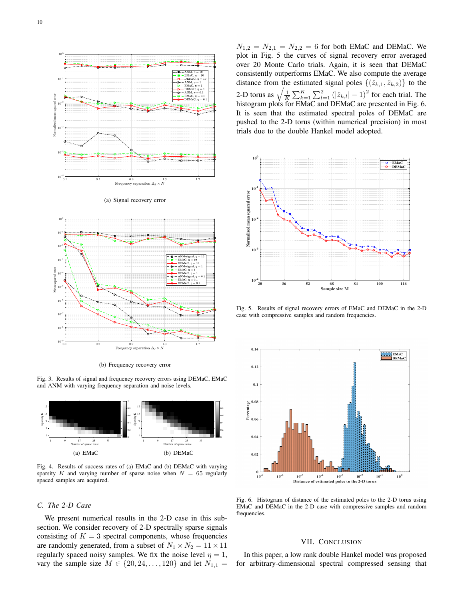

(b) Frequency recovery error

0.1 0.5 0.9 1.3 1.7

Fig. 3. Results of signal and frequency recovery errors using DEMaC, EMaC and ANM with varying frequency separation and noise levels.



Fig. 4. Results of success rates of (a) EMaC and (b) DEMaC with varying sparsity K and varying number of sparse noise when  $N = 65$  regularly spaced samples are acquired.

# *C. The 2-D Case*

 $10^{-9}$  $10^{-8}$ 

We present numerical results in the 2-D case in this subsection. We consider recovery of 2-D spectrally sparse signals consisting of  $K = 3$  spectral components, whose frequencies are randomly generated, from a subset of  $N_1 \times N_2 = 11 \times 11$ regularly spaced noisy samples. We fix the noise level  $\eta = 1$ , vary the sample size  $M \in \{20, 24, ..., 120\}$  and let  $N_{1,1} =$ 

 $N_{1,2} = N_{2,1} = N_{2,2} = 6$  for both EMaC and DEMaC. We plot in Fig. 5 the curves of signal recovery error averaged over 20 Monte Carlo trials. Again, it is seen that DEMaC consistently outperforms EMaC. We also compute the average distance from the estimated signal poles  $\{(\hat{z}_{k,1}, \hat{z}_{k,2})\}$  to the 2-D torus as  $\sqrt{\frac{1}{K}\sum_{k=1}^{K}\sum_{l=1}^{2}(|\hat{z}_{k,l}|-1)^2}$  for each trial. The histogram plots for EMaC and DEMaC are presented in Fig. 6. It is seen that the estimated spectral poles of DEMaC are pushed to the 2-D torus (within numerical precision) in most trials due to the double Hankel model adopted.



Fig. 5. Results of signal recovery errors of EMaC and DEMaC in the 2-D case with compressive samples and random frequencies.



Fig. 6. Histogram of distance of the estimated poles to the 2-D torus using EMaC and DEMaC in the 2-D case with compressive samples and random frequencies.

## VII. CONCLUSION

In this paper, a low rank double Hankel model was proposed for arbitrary-dimensional spectral compressed sensing that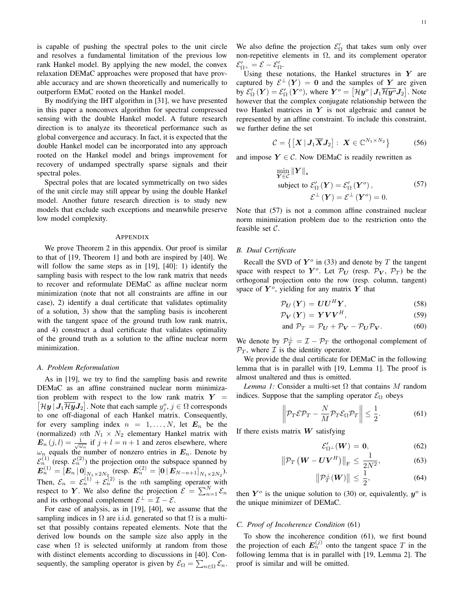is capable of pushing the spectral poles to the unit circle and resolves a fundamental limitation of the previous low rank Hankel model. By applying the new model, the convex relaxation DEMaC approaches were proposed that have provable accuracy and are shown theoretically and numerically to outperform EMaC rooted on the Hankel model.

By modifying the IHT algorithm in [31], we have presented in this paper a nonconvex algorithm for spectral compressed sensing with the double Hankel model. A future research direction is to analyze its theoretical performance such as global convergence and accuracy. In fact, it is expected that the double Hankel model can be incorporated into any approach rooted on the Hankel model and brings improvement for recovery of undamped spectrally sparse signals and their spectral poles.

Spectral poles that are located symmetrically on two sides of the unit circle may still appear by using the double Hankel model. Another future research direction is to study new models that exclude such exceptions and meanwhile preserve low model complexity.

#### **APPENDIX**

We prove Theorem 2 in this appendix. Our proof is similar to that of [19, Theorem 1] and both are inspired by [40]. We will follow the same steps as in [19], [40]: 1) identify the sampling basis with respect to the low rank matrix that needs to recover and reformulate DEMaC as affine nuclear norm minimization (note that not all constraints are affine in our case), 2) identify a dual certificate that validates optimality of a solution, 3) show that the sampling basis is incoherent with the tangent space of the ground truth low rank matrix, and 4) construct a dual certificate that validates optimality of the ground truth as a solution to the affine nuclear norm minimization.

#### *A. Problem Reformulation*

As in [19], we try to find the sampling basis and rewrite DEMaC as an affine constrained nuclear norm minimization problem with respect to the low rank matrix  $Y =$  $[\mathcal{H} \boldsymbol{y} | \boldsymbol{J}_1 \overline{\mathcal{H} \boldsymbol{y}} \boldsymbol{J}_2]$ . Note that each sample  $y_j^o, j \in \Omega$  corresponds to one off-diagonal of each Hankel matrix. Consequently, for every sampling index  $n = 1, \ldots, N$ , let  $E_n$  be the (normalized) nth  $N_1 \times N_2$  elementary Hankel matrix with  $\mathbf{E}_n(j,l) = \frac{1}{\sqrt{\omega_n}}$  if  $j+l=n+1$  and zeros elsewhere, where  $\omega_n$  equals the number of nonzero entries in  $E_n$ . Denote by  $\mathcal{E}_n^{(1)}$  (resp.  $\mathcal{E}_n^{(2)}$ ) the projection onto the subspace spanned by  $\bm{E}_n^{(1)} = \left[ \bm{E}_n \, | \, \bm{0} \right]_{N_1 \times 2N_2} \, (\textrm{resp.} \, \, \bm{E}_n^{(2)} = \left[ \bm{0} \, | \, \bm{E}_{N-n+1} \right]_{N_1 \times 2N_2}).$ Then,  $\mathcal{E}_n = \mathcal{E}_n^{(1)} + \mathcal{E}_n^{(2)}$  is the *n*th sampling operator with respect to Y. We also define the projection  $\mathcal{E} = \sum_{n=1}^{N} \mathcal{E}_n$ and its orthogonal complement  $\mathcal{E}^{\perp} = \mathcal{I} - \mathcal{E}$ .

For ease of analysis, as in [19], [40], we assume that the sampling indices in  $\Omega$  are i.i.d. generated so that  $\Omega$  is a multiset that possibly contains repeated elements. Note that the derived low bounds on the sample size also apply in the case when  $\Omega$  is selected uniformly at random from those with distinct elements according to discussions in [40]. Consequently, the sampling operator is given by  $\mathcal{E}_{\Omega} = \sum_{n \in \Omega} \mathcal{E}_n$ .

We also define the projection  $\mathcal{E}'_{\Omega}$  that takes sum only over non-repetitive elements in  $Ω$ , and its complement operator  $\mathcal{E}_{\Omega^\perp}' = \mathcal{E} - \mathcal{E}_\Omega'.$ 

Using these notations, the Hankel structures in  $Y$  are captured by  $\mathcal{E}^{\perp}(Y) = 0$  and the samples of Y are given by  $\mathcal{E}'_{\Omega}(\bm{Y})=\mathcal{E}'_{\Omega}(\bm{Y}^o)$ , where  $\bm{Y}^o=\left[\mathcal{H}\bm{y}^o\,|\,\bm{J}_1\overline{\mathcal{H}\bm{y}^o}\bm{J}_2\right]$ . Note however that the complex conjugate relationship between the two Hankel matrices in  $Y$  is not algebraic and cannot be represented by an affine constraint. To include this constraint, we further define the set

$$
\mathcal{C} = \left\{ \left[ \boldsymbol{X} \, | \, \boldsymbol{J}_1 \boldsymbol{\overline{X}} \boldsymbol{J}_2 \right] : \ \boldsymbol{X} \in \mathbb{C}^{N_1 \times N_2} \right\} \tag{56}
$$

and impose  $Y \in \mathcal{C}$ . Now DEMaC is readily rewritten as

$$
\min_{\mathbf{Y} \in \mathcal{C}} \|\mathbf{Y}\|_{\star}
$$
\nsubject to  $\mathcal{E}_{\Omega}'(\mathbf{Y}) = \mathcal{E}_{\Omega}'(\mathbf{Y}^o)$ , (57)\n
$$
\mathcal{E}^{\perp}(\mathbf{Y}) = \mathcal{E}^{\perp}(\mathbf{Y}^o) = 0.
$$

Note that (57) is not a common affine constrained nuclear norm minimization problem due to the restriction onto the feasible set C.

# *B. Dual Certificate*

Recall the SVD of  $Y^o$  in (33) and denote by T the tangent space with respect to  $Y^o$ . Let  $\mathcal{P}_U$  (resp.  $\mathcal{P}_V$ ,  $\mathcal{P}_T$ ) be the orthogonal projection onto the row (resp. column, tangent) space of  $Y^o$ , yielding for any matrix Y that

$$
\mathcal{P}_{\boldsymbol{U}}\left(\boldsymbol{Y}\right) = \boldsymbol{U}\boldsymbol{U}^H\boldsymbol{Y},\tag{58}
$$

$$
\mathcal{P}_{V}\left(Y\right)=YVV^{H},\tag{59}
$$

and 
$$
\mathcal{P}_T = \mathcal{P}_U + \mathcal{P}_V - \mathcal{P}_U \mathcal{P}_V.
$$
 (60)

We denote by  $P_T^{\perp} = \mathcal{I} - \mathcal{P}_T$  the orthogonal complement of  $\mathcal{P}_T$ , where  $\mathcal I$  is the identity operator.

We provide the dual certificate for DEMaC in the following lemma that is in parallel with [19, Lemma 1]. The proof is almost unaltered and thus is omitted.

*Lemma 1:* Consider a multi-set  $\Omega$  that contains M random indices. Suppose that the sampling operator  $\mathcal{E}_{\Omega}$  obeys

$$
\left\| \mathcal{P}_T \mathcal{E} \mathcal{P}_T - \frac{N}{M} \mathcal{P}_T \mathcal{E}_\Omega \mathcal{P}_T \right\| \le \frac{1}{2}.
$$
 (61)

If there exists matrix  $W$  satisfying

$$
\mathcal{E}'_{\Omega^{\perp}}(W) = 0, \tag{62}
$$

$$
\left\|\mathcal{P}_T\left(\boldsymbol{W}-\boldsymbol{U}\boldsymbol{V}^H\right)\right\|_{\text{F}} \leq \frac{1}{2N^2},\tag{63}
$$

$$
\left\|\mathcal{P}_T^{\perp}(W)\right\| \le \frac{1}{2},\tag{64}
$$

then  $Y^{\circ}$  is the unique solution to (30) or, equivalently,  $y^{\circ}$  is the unique minimizer of DEMaC.

## *C. Proof of Incoherence Condition* (61)

To show the incoherence condition (61), we first bound the projection of each  $E_n^{(j)}$  onto the tangent space T in the following lemma that is in parallel with [19, Lemma 2]. The proof is similar and will be omitted.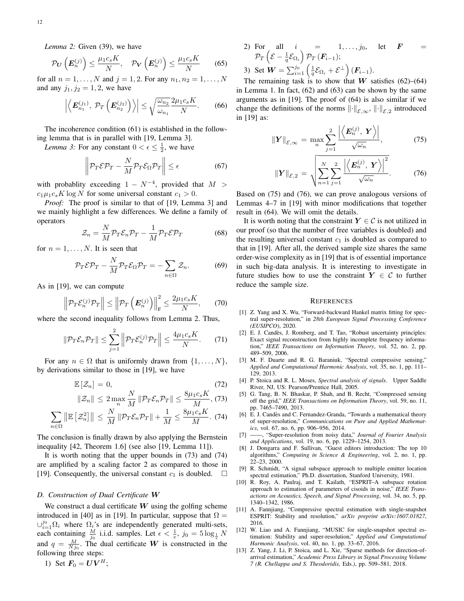*Lemma 2:* Given (39), we have

$$
\mathcal{P}_{\boldsymbol{U}}\left(\boldsymbol{E}_n^{(j)}\right) \le \frac{\mu_1 c_s K}{N}, \quad \mathcal{P}_{\boldsymbol{V}}\left(\boldsymbol{E}_n^{(j)}\right) \le \frac{\mu_1 c_s K}{N} \qquad (65)
$$

for all  $n = 1, ..., N$  and  $j = 1, 2$ . For any  $n_1, n_2 = 1, ..., N$ and any  $j_1, j_2 = 1, 2$ , we have

$$
\left| \left\langle E_{n_1}^{(j_1)}, \, \mathcal{P}_T \left( E_{n_2}^{(j_2)} \right) \right\rangle \right| \leq \sqrt{\frac{\omega_{n_2}}{\omega_{n_1}}} \frac{2\mu_1 c_s K}{N}.\tag{66}
$$

The incoherence condition (61) is established in the following lemma that is in parallel with [19, Lemma 3].

*Lemma 3:* For any constant  $0 < \epsilon \leq \frac{1}{2}$ , we have

$$
\left\| \mathcal{P}_T \mathcal{E} \mathcal{P}_T - \frac{N}{M} \mathcal{P}_T \mathcal{E}_\Omega \mathcal{P}_T \right\| \le \epsilon \tag{67}
$$

with probablity exceeding  $1 - N^{-4}$ , provided that  $M >$  $c_1\mu_1c_sK\log N$  for some universal constant  $c_1 > 0$ .

*Proof:* The proof is similar to that of [19, Lemma 3] and we mainly highlight a few differences. We define a family of operators

$$
\mathcal{Z}_n = \frac{N}{M} \mathcal{P}_T \mathcal{E}_n \mathcal{P}_T - \frac{1}{M} \mathcal{P}_T \mathcal{E} \mathcal{P}_T \tag{68}
$$

for  $n = 1, \ldots, N$ . It is seen that

$$
\mathcal{P}_T \mathcal{E} \mathcal{P}_T - \frac{N}{M} \mathcal{P}_T \mathcal{E}_\Omega \mathcal{P}_T = -\sum_{n \in \Omega} \mathcal{Z}_n. \tag{69}
$$

As in [19], we can compute

$$
\left\| \mathcal{P}_T \mathcal{E}_n^{(j)} \mathcal{P}_T \right\| \le \left\| \mathcal{P}_T \left( \boldsymbol{E}_n^{(j)} \right) \right\|_{\mathrm{F}}^2 \le \frac{2 \mu_1 c_s K}{N},\qquad(70)
$$

where the second inequality follows from Lemma 2. Thus,

$$
\|\mathcal{P}_T \mathcal{E}_n \mathcal{P}_T\| \le \sum_{j=1}^2 \left\|\mathcal{P}_T \mathcal{E}_n^{(j)} \mathcal{P}_T\right\| \le \frac{4\mu_1 c_s K}{N}.\tag{71}
$$

For any  $n \in \Omega$  that is uniformly drawn from  $\{1, \ldots, N\}$ , by derivations similar to those in [19], we have

$$
\mathbb{E}\left[\mathcal{Z}_n\right] = 0,\tag{72}
$$

$$
\|\mathcal{Z}_n\| \le 2 \max_{n} \frac{N}{M} \|\mathcal{P}_T \mathcal{E}_n \mathcal{P}_T\| \le \frac{8\mu_1 c_s K}{M},
$$
 (73)

$$
\sum_{n\in\Omega} \left\| \mathbb{E}\left[\mathcal{Z}_n^2\right] \right\| \leq \frac{N}{M} \left\| \mathcal{P}_T \mathcal{E}_n \mathcal{P}_T \right\| + \frac{1}{M} \leq \frac{8\mu_1 c_s K}{M}.
$$
 (74)

The conclusion is finally drawn by also applying the Bernstein inequality [42, Theorem 1.6] (see also [19, Lemma 11]).

It is worth noting that the upper bounds in (73) and (74) are amplified by a scaling factor 2 as compared to those in [19]. Consequently, the universal constant  $c_1$  is doubled.  $\Box$ 

# *D. Construction of Dual Certificate* W

We construct a dual certificate  $W$  using the golfing scheme introduced in [40] as in [19]. In particular, suppose that  $\Omega =$  $\cup_{i=1}^{j_0} \Omega_i$  where  $\Omega_i$ 's are independently generated multi-sets, each containing  $\frac{M}{j_0}$  i.i.d. samples. Let  $\epsilon < \frac{1}{e}$ ,  $j_0 = 5 \log_{\frac{1}{\epsilon}} N$ and  $q = \frac{M}{Nj_0}$ . The dual certificate W is constructed in the following three steps:

2) For all 
$$
i = 1, ..., j_0
$$
, let  $\mathbf{F} =$   
\n
$$
\mathcal{P}_T \left( \mathcal{E} - \frac{1}{q} \mathcal{E}_{\Omega_i} \right) \mathcal{P}_T \left( \mathbf{F}_{i-1} \right);
$$
\n3) Set  $\mathbf{W} = \sum_{i=1}^{j_0} \left( \frac{1}{q} \mathcal{E}_{\Omega_i} + \mathcal{E}^{\perp} \right) \left( \mathbf{F}_{i-1} \right).$ 

The remaining task is to show that W satisfies  $(62)$ – $(64)$ in Lemma 1. In fact, (62) and (63) can be shown by the same arguments as in [19]. The proof of (64) is also similar if we change the definitions of the norms  $\lVert \cdot \rVert_{\mathcal{E},\infty}$ ,  $\lVert \cdot \rVert_{\mathcal{E},2}$  introduced in [19] as:

$$
\|\mathbf{Y}\|_{\mathcal{E},\infty} = \max_{n} \sum_{j=1}^{2} \frac{\left| \left\langle \mathbf{E}_n^{(j)}, \mathbf{Y} \right\rangle \right|}{\sqrt{\omega_n}},\tag{75}
$$

$$
\|\mathbf{Y}\|_{\mathcal{E},2} = \sqrt{\sum_{n=1}^{N} \sum_{j=1}^{2} \frac{\left| \left\langle \mathbf{E}_n^{(j)}, \mathbf{Y} \right\rangle \right|^2}{\sqrt{\omega_n}}}.
$$
 (76)

Based on (75) and (76), we can prove analogous versions of Lemmas 4–7 in [19] with minor modifications that together result in (64). We will omit the details.

It is worth noting that the constraint  $Y \in \mathcal{C}$  is not utilized in our proof (so that the number of free variables is doubled) and the resulting universal constant  $c_1$  is doubled as compared to that in [19]. After all, the derived sample size shares the same order-wise complexity as in [19] that is of essential importance in such big-data analysis. It is interesting to investigate in future studies how to use the constraint  $Y \in \mathcal{C}$  to further reduce the sample size.

#### **REFERENCES**

- [1] Z. Yang and X. Wu, "Forward-backward Hankel matrix fitting for spectral super-resolution," in *28th European Signal Processing Conference (EUSIPCO)*, 2020.
- [2] E. J. Candès, J. Romberg, and T. Tao, "Robust uncertainty principles: Exact signal reconstruction from highly incomplete frequency information," *IEEE Transactions on Information Theory*, vol. 52, no. 2, pp. 489–509, 2006.
- [3] M. F. Duarte and R. G. Baraniuk, "Spectral compressive sensing," *Applied and Computational Harmonic Analysis*, vol. 35, no. 1, pp. 111– 129, 2013.
- [4] P. Stoica and R. L. Moses, *Spectral analysis of signals*. Upper Saddle River, NJ, US: Pearson/Prentice Hall, 2005.
- [5] G. Tang, B. N. Bhaskar, P. Shah, and B. Recht, "Compressed sensing off the grid," *IEEE Transactions on Information Theory*, vol. 59, no. 11, pp. 7465–7490, 2013.
- [6] E. J. Candès and C. Fernandez-Granda, "Towards a mathematical theory of super-resolution," *Communications on Pure and Applied Mathematics*, vol. 67, no. 6, pp. 906–956, 2014.
- [7] ——, "Super-resolution from noisy data," *Journal of Fourier Analysis and Applications*, vol. 19, no. 6, pp. 1229–1254, 2013.
- [8] J. Dongarra and F. Sullivan, "Guest editors introduction: The top 10 algorithms," *Computing in Science & Engineering*, vol. 2, no. 1, pp. 22–23, 2000.
- [9] R. Schmidt, "A signal subspace approach to multiple emitter location spectral estimation," Ph.D. dissertation, Stanford University, 1981.
- [10] R. Roy, A. Paulraj, and T. Kailath, "ESPRIT–A subspace rotation approach to estimation of parameters of cisoids in noise," *IEEE Transactions on Acoustics, Speech, and Signal Processing*, vol. 34, no. 5, pp. 1340–1342, 1986.
- [11] A. Fannjiang, "Compressive spectral estimation with single-snapshot ESPRIT: Stability and resolution," *arXiv preprint arXiv:1607.01827*, 2016.
- [12] W. Liao and A. Fannjiang, "MUSIC for single-snapshot spectral estimation: Stability and super-resolution," *Applied and Computational Harmonic Analysis*, vol. 40, no. 1, pp. 33–67, 2016.
- [13] Z. Yang, J. Li, P. Stoica, and L. Xie, "Sparse methods for direction-ofarrival estimation," *Academic Press Library in Signal Processing Volume 7 (R. Chellappa and S. Theodoridis,* Eds.*)*, pp. 509–581, 2018.

1) Set  $F_0 = \overline{UV}^H$ ;